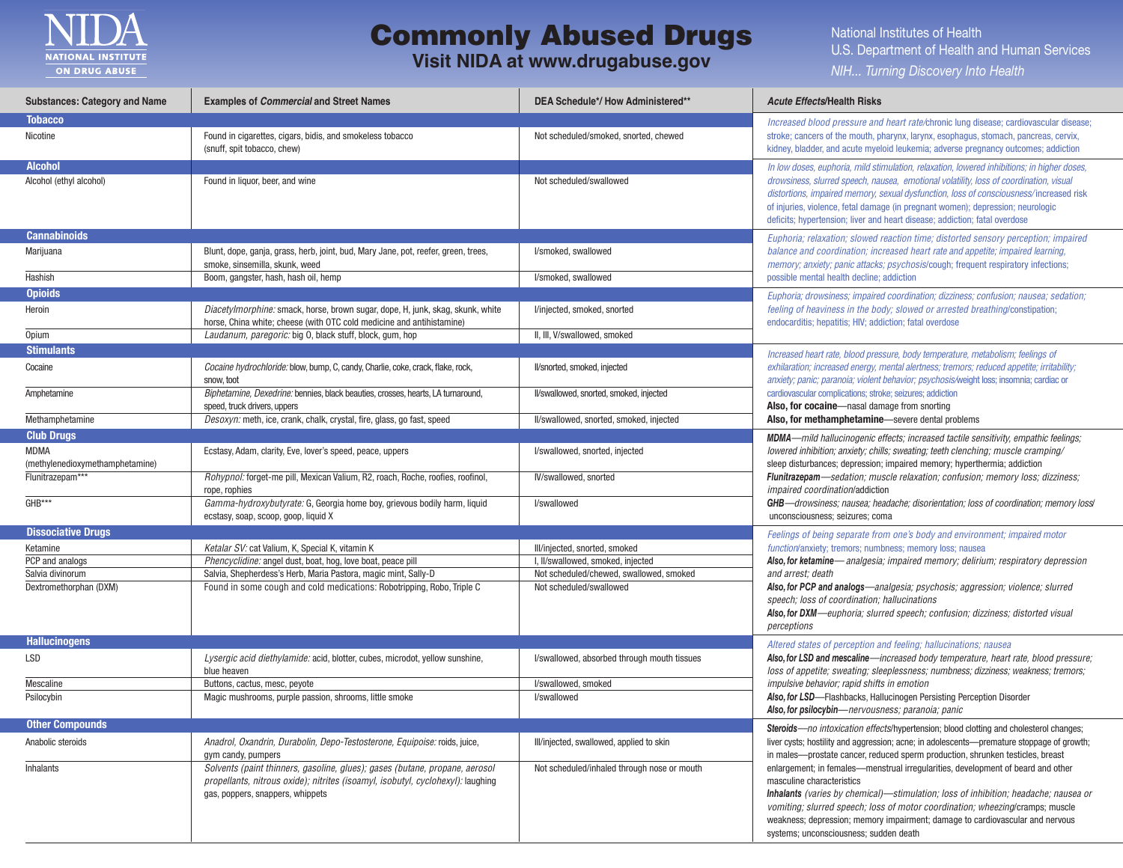

## Commonly Abused Drugs

## **Visit NIDA at www.drugabuse.gov**

National Institutes of Health U.S. Department of Health and Human Services *NIH... Turning Discovery Into Health*

| <b>Substances: Category and Name</b>           | <b>Examples of Commercial and Street Names</b>                                                                                                                                                     | DEA Schedule*/ How Administered**                                                              | <b>Acute Effects/Health Risks</b>                                                                                                                                                                                                                                                                                                                                                                                                                                                                                                                                                                   |
|------------------------------------------------|----------------------------------------------------------------------------------------------------------------------------------------------------------------------------------------------------|------------------------------------------------------------------------------------------------|-----------------------------------------------------------------------------------------------------------------------------------------------------------------------------------------------------------------------------------------------------------------------------------------------------------------------------------------------------------------------------------------------------------------------------------------------------------------------------------------------------------------------------------------------------------------------------------------------------|
| <b>Tobacco</b>                                 |                                                                                                                                                                                                    |                                                                                                | Increased blood pressure and heart rate/chronic lung disease; cardiovascular disease;                                                                                                                                                                                                                                                                                                                                                                                                                                                                                                               |
| Nicotine                                       | Found in cigarettes, cigars, bidis, and smokeless tobacco<br>(snuff, spit tobacco, chew)                                                                                                           | Not scheduled/smoked, snorted, chewed                                                          | stroke; cancers of the mouth, pharynx, larynx, esophagus, stomach, pancreas, cervix,<br>kidney, bladder, and acute myeloid leukemia; adverse pregnancy outcomes; addiction                                                                                                                                                                                                                                                                                                                                                                                                                          |
| <b>Alcohol</b>                                 |                                                                                                                                                                                                    |                                                                                                | In low doses, euphoria, mild stimulation, relaxation, lowered inhibitions; in higher doses,                                                                                                                                                                                                                                                                                                                                                                                                                                                                                                         |
| Alcohol (ethyl alcohol)                        | Found in liquor, beer, and wine                                                                                                                                                                    | Not scheduled/swallowed                                                                        | drowsiness, slurred speech, nausea, emotional volatility, loss of coordination, visual<br>distortions, impaired memory, sexual dysfunction, loss of consciousness/increased risk<br>of injuries, violence, fetal damage (in pregnant women); depression; neurologic<br>deficits; hypertension; liver and heart disease; addiction; fatal overdose                                                                                                                                                                                                                                                   |
| <b>Cannabinoids</b>                            |                                                                                                                                                                                                    | Euphoria; relaxation; slowed reaction time; distorted sensory perception; impaired             |                                                                                                                                                                                                                                                                                                                                                                                                                                                                                                                                                                                                     |
| Marijuana                                      | Blunt, dope, ganja, grass, herb, joint, bud, Mary Jane, pot, reefer, green, trees,<br>smoke, sinsemilla, skunk, weed                                                                               | l/smoked, swallowed                                                                            | balance and coordination; increased heart rate and appetite; impaired learning,<br>memory; anxiety; panic attacks; psychosis/cough; frequent respiratory infections;<br>possible mental health decline; addiction                                                                                                                                                                                                                                                                                                                                                                                   |
| Hashish                                        | Boom, gangster, hash, hash oil, hemp                                                                                                                                                               | I/smoked, swallowed                                                                            |                                                                                                                                                                                                                                                                                                                                                                                                                                                                                                                                                                                                     |
| <b>Opioids</b>                                 |                                                                                                                                                                                                    |                                                                                                | Euphoria; drowsiness; impaired coordination; dizziness; confusion; nausea; sedation;                                                                                                                                                                                                                                                                                                                                                                                                                                                                                                                |
| Heroin                                         | Diacetylmorphine: smack, horse, brown sugar, dope, H, junk, skag, skunk, white<br>horse, China white; cheese (with OTC cold medicine and antihistamine)                                            | l/injected, smoked, snorted                                                                    | feeling of heaviness in the body; slowed or arrested breathing/constipation;<br>endocarditis; hepatitis; HIV; addiction; fatal overdose                                                                                                                                                                                                                                                                                                                                                                                                                                                             |
| Opium                                          | Laudanum, paregoric: big 0, black stuff, block, gum, hop                                                                                                                                           | II, III, V/swallowed, smoked                                                                   |                                                                                                                                                                                                                                                                                                                                                                                                                                                                                                                                                                                                     |
| <b>Stimulants</b>                              |                                                                                                                                                                                                    |                                                                                                | Increased heart rate, blood pressure, body temperature, metabolism; feelings of                                                                                                                                                                                                                                                                                                                                                                                                                                                                                                                     |
| Cocaine                                        | Cocaine hydrochloride: blow, bump, C, candy, Charlie, coke, crack, flake, rock,<br>snow, toot                                                                                                      | II/snorted, smoked, injected                                                                   | exhilaration; increased energy, mental alertness; tremors; reduced appetite; irritability;<br>anxiety; panic; paranoia; violent behavior; psychosis/weight loss; insomnia; cardiac or<br>cardiovascular complications; stroke; seizures; addiction<br>Also, for cocaine-nasal damage from snorting                                                                                                                                                                                                                                                                                                  |
| Amphetamine                                    | Biphetamine, Dexedrine: bennies, black beauties, crosses, hearts, LA turnaround,                                                                                                                   | II/swallowed, snorted, smoked, injected                                                        |                                                                                                                                                                                                                                                                                                                                                                                                                                                                                                                                                                                                     |
|                                                | speed, truck drivers, uppers                                                                                                                                                                       |                                                                                                |                                                                                                                                                                                                                                                                                                                                                                                                                                                                                                                                                                                                     |
| Methamphetamine                                | Desoxyn: meth, ice, crank, chalk, crystal, fire, glass, go fast, speed                                                                                                                             | II/swallowed, snorted, smoked, injected                                                        | Also, for methamphetamine—severe dental problems                                                                                                                                                                                                                                                                                                                                                                                                                                                                                                                                                    |
| <b>Club Drugs</b>                              |                                                                                                                                                                                                    |                                                                                                | <b>MDMA</b> —mild hallucinogenic effects; increased tactile sensitivity, empathic feelings;                                                                                                                                                                                                                                                                                                                                                                                                                                                                                                         |
| <b>MDMA</b><br>(methylenedioxymethamphetamine) | Ecstasy, Adam, clarity, Eve, lover's speed, peace, uppers                                                                                                                                          | l/swallowed, snorted, injected                                                                 | lowered inhibition; anxiety; chills; sweating; teeth clenching; muscle cramping/<br>sleep disturbances; depression; impaired memory; hyperthermia; addiction<br>Flunitrazepam-sedation; muscle relaxation; confusion; memory loss; dizziness;<br><i>impaired coordination</i> /addiction<br><b>GHB</b> —drowsiness; nausea; headache; disorientation; loss of coordination; memory loss/<br>unconsciousness; seizures; coma                                                                                                                                                                         |
| Flunitrazepam***                               | Rohypnol: forget-me pill, Mexican Valium, R2, roach, Roche, roofies, roofinol,<br>rope, rophies                                                                                                    | IV/swallowed, snorted                                                                          |                                                                                                                                                                                                                                                                                                                                                                                                                                                                                                                                                                                                     |
| GHB***                                         | Gamma-hydroxybutyrate: G, Georgia home boy, grievous bodily harm, liquid<br>ecstasy, soap, scoop, goop, liquid X                                                                                   | l/swallowed                                                                                    |                                                                                                                                                                                                                                                                                                                                                                                                                                                                                                                                                                                                     |
| <b>Dissociative Drugs</b>                      |                                                                                                                                                                                                    | Feelings of being separate from one's body and environment; impaired motor                     |                                                                                                                                                                                                                                                                                                                                                                                                                                                                                                                                                                                                     |
| Ketamine                                       | Ketalar SV: cat Valium, K, Special K, vitamin K                                                                                                                                                    | III/injected, snorted, smoked                                                                  | function/anxiety; tremors; numbness; memory loss; nausea                                                                                                                                                                                                                                                                                                                                                                                                                                                                                                                                            |
| PCP and analogs                                | Phencyclidine: angel dust, boat, hog, love boat, peace pill                                                                                                                                        | I, II/swallowed, smoked, injected                                                              | Also, for ketamine—analgesia; impaired memory; delirium; respiratory depression                                                                                                                                                                                                                                                                                                                                                                                                                                                                                                                     |
| Salvia divinorum                               | Salvia, Shepherdess's Herb, Maria Pastora, magic mint, Sally-D                                                                                                                                     | Not scheduled/chewed, swallowed, smoked                                                        | and arrest; death                                                                                                                                                                                                                                                                                                                                                                                                                                                                                                                                                                                   |
| Dextromethorphan (DXM)                         | Found in some cough and cold medications: Robotripping, Robo, Triple C                                                                                                                             | Not scheduled/swallowed                                                                        | Also, for PCP and analogs-analgesia; psychosis; aggression; violence; slurred<br>speech; loss of coordination; hallucinations<br>Also, for DXM—euphoria; slurred speech; confusion; dizziness; distorted visual<br>perceptions                                                                                                                                                                                                                                                                                                                                                                      |
| <b>Hallucinogens</b>                           |                                                                                                                                                                                                    |                                                                                                | Altered states of perception and feeling; hallucinations; nausea                                                                                                                                                                                                                                                                                                                                                                                                                                                                                                                                    |
| LSD                                            | Lysergic acid diethylamide: acid, blotter, cubes, microdot, yellow sunshine,<br>blue heaven                                                                                                        | I/swallowed, absorbed through mouth tissues                                                    | Also, for LSD and mescaline—increased body temperature, heart rate, blood pressure;<br>loss of appetite; sweating; sleeplessness; numbness; dizziness; weakness; tremors;<br>impulsive behavior; rapid shifts in emotion<br>Also, for LSD-Flashbacks, Hallucinogen Persisting Perception Disorder<br>Also, for psilocybin-nervousness; paranoia; panic                                                                                                                                                                                                                                              |
| Mescaline                                      | Buttons, cactus, mesc, peyote                                                                                                                                                                      | I/swallowed, smoked                                                                            |                                                                                                                                                                                                                                                                                                                                                                                                                                                                                                                                                                                                     |
| Psilocybin                                     | Magic mushrooms, purple passion, shrooms, little smoke                                                                                                                                             | l/swallowed                                                                                    |                                                                                                                                                                                                                                                                                                                                                                                                                                                                                                                                                                                                     |
| <b>Other Compounds</b>                         |                                                                                                                                                                                                    | <b>Steroids</b> —no intoxication effects/hypertension; blood clotting and cholesterol changes; |                                                                                                                                                                                                                                                                                                                                                                                                                                                                                                                                                                                                     |
| Anabolic steroids                              | Anadrol, Oxandrin, Durabolin, Depo-Testosterone, Equipoise: roids, juice,<br>gym candy, pumpers                                                                                                    | III/injected, swallowed, applied to skin                                                       | liver cysts; hostility and aggression; acne; in adolescents—premature stoppage of growth;<br>in males---prostate cancer, reduced sperm production, shrunken testicles, breast<br>enlargement; in females---menstrual irregularities, development of beard and other<br>masculine characteristics<br>Inhalants (varies by chemical)—stimulation; loss of inhibition; headache; nausea or<br>vomiting; slurred speech; loss of motor coordination; wheezing/cramps; muscle<br>weakness; depression; memory impairment; damage to cardiovascular and nervous<br>systems; unconsciousness; sudden death |
| Inhalants                                      | Solvents (paint thinners, gasoline, glues); gases (butane, propane, aerosol<br>propellants, nitrous oxide); nitrites (isoamyl, isobutyl, cyclohexyl): laughing<br>gas, poppers, snappers, whippets | Not scheduled/inhaled through nose or mouth                                                    |                                                                                                                                                                                                                                                                                                                                                                                                                                                                                                                                                                                                     |